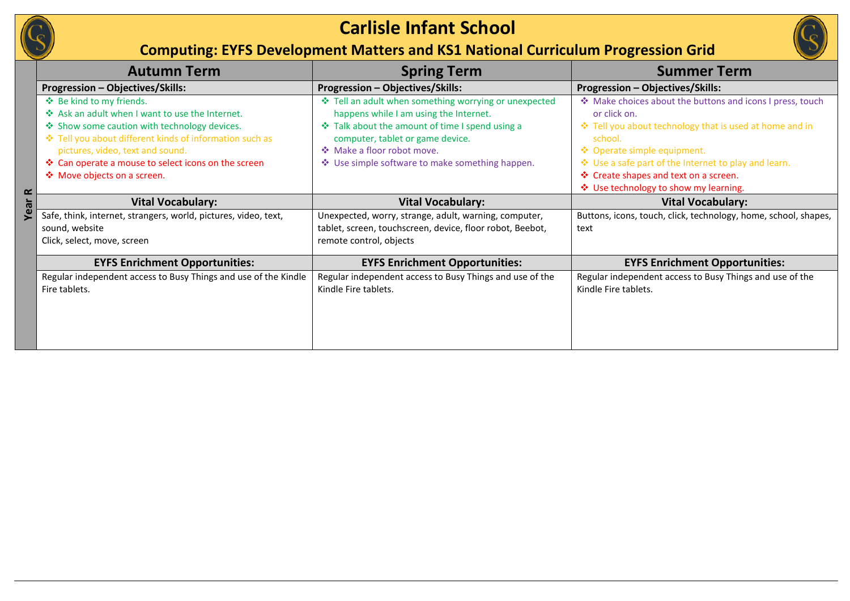

## **Carlisle Infant School**

## **Computing: EYFS Development Matters and KS1 National Curriculum Progression Grid**

|           | <b>Autumn Term</b>                                                                                                                                                                                                                                                                                               | <b>Spring Term</b>                                                                                                                                                                                                                                                      | <b>Summer Term</b>                                                                                                                                                                                                                                                                                                       |
|-----------|------------------------------------------------------------------------------------------------------------------------------------------------------------------------------------------------------------------------------------------------------------------------------------------------------------------|-------------------------------------------------------------------------------------------------------------------------------------------------------------------------------------------------------------------------------------------------------------------------|--------------------------------------------------------------------------------------------------------------------------------------------------------------------------------------------------------------------------------------------------------------------------------------------------------------------------|
|           | Progression - Objectives/Skills:                                                                                                                                                                                                                                                                                 | Progression - Objectives/Skills:                                                                                                                                                                                                                                        | Progression - Objectives/Skills:                                                                                                                                                                                                                                                                                         |
| $\propto$ | ❖ Be kind to my friends.<br>❖ Ask an adult when I want to use the Internet.<br>❖ Show some caution with technology devices.<br>❖ Tell you about different kinds of information such as<br>pictures, video, text and sound.<br>❖ Can operate a mouse to select icons on the screen<br>❖ Move objects on a screen. | ❖ Tell an adult when something worrying or unexpected<br>happens while I am using the Internet.<br>❖ Talk about the amount of time I spend using a<br>computer, tablet or game device.<br>❖ Make a floor robot move.<br>❖ Use simple software to make something happen. | ❖ Make choices about the buttons and icons I press, touch<br>or click on.<br>❖ Tell you about technology that is used at home and in<br>school.<br>❖ Operate simple equipment.<br>❖ Use a safe part of the Internet to play and learn.<br>❖ Create shapes and text on a screen.<br>❖ Use technology to show my learning. |
|           | <b>Vital Vocabulary:</b>                                                                                                                                                                                                                                                                                         | <b>Vital Vocabulary:</b>                                                                                                                                                                                                                                                | <b>Vital Vocabulary:</b>                                                                                                                                                                                                                                                                                                 |
| Year      | Safe, think, internet, strangers, world, pictures, video, text,<br>sound, website<br>Click, select, move, screen                                                                                                                                                                                                 | Unexpected, worry, strange, adult, warning, computer,<br>tablet, screen, touchscreen, device, floor robot, Beebot,<br>remote control, objects                                                                                                                           | Buttons, icons, touch, click, technology, home, school, shapes,<br>text                                                                                                                                                                                                                                                  |
|           | <b>EYFS Enrichment Opportunities:</b>                                                                                                                                                                                                                                                                            | <b>EYFS Enrichment Opportunities:</b>                                                                                                                                                                                                                                   | <b>EYFS Enrichment Opportunities:</b>                                                                                                                                                                                                                                                                                    |
|           | Regular independent access to Busy Things and use of the Kindle<br>Fire tablets.                                                                                                                                                                                                                                 | Regular independent access to Busy Things and use of the<br>Kindle Fire tablets.                                                                                                                                                                                        | Regular independent access to Busy Things and use of the<br>Kindle Fire tablets.                                                                                                                                                                                                                                         |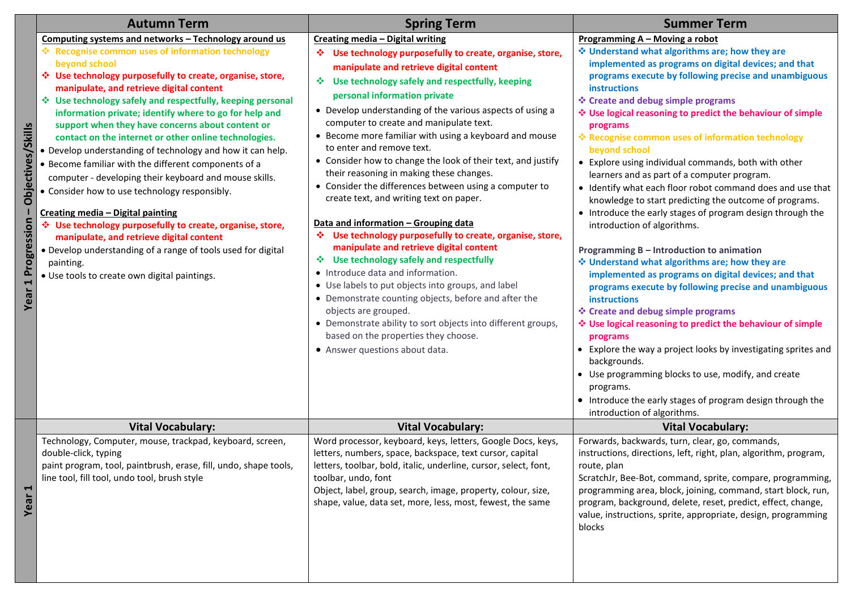|                                                 | <b>Autumn Term</b>                                                                                                                                                                                                                                                                                                                                                                                                                                                                                                                                                                                                                                                                                                                                                                                                                                                                                                                                                                    | <b>Spring Term</b>                                                                                                                                                                                                                                                                                                                                                                                                                                                                                                                                                                                                                                                                                                                                                                                                                                                                                                                                                                                                                                                                                                                                                 | <b>Summer Term</b>                                                                                                                                                                                                                                                                                                                                                                                                                                                                                                                                                                                                                                                                                                                                                                                                                                                                                                                                                                                                                                                                                                                                                                                                                                                                                                                               |
|-------------------------------------------------|---------------------------------------------------------------------------------------------------------------------------------------------------------------------------------------------------------------------------------------------------------------------------------------------------------------------------------------------------------------------------------------------------------------------------------------------------------------------------------------------------------------------------------------------------------------------------------------------------------------------------------------------------------------------------------------------------------------------------------------------------------------------------------------------------------------------------------------------------------------------------------------------------------------------------------------------------------------------------------------|--------------------------------------------------------------------------------------------------------------------------------------------------------------------------------------------------------------------------------------------------------------------------------------------------------------------------------------------------------------------------------------------------------------------------------------------------------------------------------------------------------------------------------------------------------------------------------------------------------------------------------------------------------------------------------------------------------------------------------------------------------------------------------------------------------------------------------------------------------------------------------------------------------------------------------------------------------------------------------------------------------------------------------------------------------------------------------------------------------------------------------------------------------------------|--------------------------------------------------------------------------------------------------------------------------------------------------------------------------------------------------------------------------------------------------------------------------------------------------------------------------------------------------------------------------------------------------------------------------------------------------------------------------------------------------------------------------------------------------------------------------------------------------------------------------------------------------------------------------------------------------------------------------------------------------------------------------------------------------------------------------------------------------------------------------------------------------------------------------------------------------------------------------------------------------------------------------------------------------------------------------------------------------------------------------------------------------------------------------------------------------------------------------------------------------------------------------------------------------------------------------------------------------|
| Skills<br>ectives/<br>jao<br>Year 1 Progression | Computing systems and networks - Technology around us<br>❖ Recognise common uses of information technology<br>beyond school<br>❖ Use technology purposefully to create, organise, store,<br>manipulate, and retrieve digital content<br>❖ Use technology safely and respectfully, keeping personal<br>information private; identify where to go for help and<br>support when they have concerns about content or<br>contact on the internet or other online technologies.<br>• Develop understanding of technology and how it can help.<br>• Become familiar with the different components of a<br>computer - developing their keyboard and mouse skills.<br>• Consider how to use technology responsibly.<br>Creating media - Digital painting<br>❖ Use technology purposefully to create, organise, store,<br>manipulate, and retrieve digital content<br>• Develop understanding of a range of tools used for digital<br>painting.<br>• Use tools to create own digital paintings. | Creating media - Digital writing<br>❖ Use technology purposefully to create, organise, store,<br>manipulate and retrieve digital content<br>Use technology safely and respectfully, keeping<br>豪。<br>personal information private<br>• Develop understanding of the various aspects of using a<br>computer to create and manipulate text.<br>• Become more familiar with using a keyboard and mouse<br>to enter and remove text.<br>• Consider how to change the look of their text, and justify<br>their reasoning in making these changes.<br>• Consider the differences between using a computer to<br>create text, and writing text on paper.<br>Data and information - Grouping data<br>❖ Use technology purposefully to create, organise, store,<br>manipulate and retrieve digital content<br>❖ Use technology safely and respectfully<br>• Introduce data and information.<br>• Use labels to put objects into groups, and label<br>• Demonstrate counting objects, before and after the<br>objects are grouped.<br>• Demonstrate ability to sort objects into different groups,<br>based on the properties they choose.<br>• Answer questions about data. | Programming A - Moving a robot<br>Understand what algorithms are; how they are<br>implemented as programs on digital devices; and that<br>programs execute by following precise and unambiguous<br><b>instructions</b><br>❖ Create and debug simple programs<br>❖ Use logical reasoning to predict the behaviour of simple<br>programs<br>❖ Recognise common uses of information technology<br>beyond school<br>• Explore using individual commands, both with other<br>learners and as part of a computer program.<br>• Identify what each floor robot command does and use that<br>knowledge to start predicting the outcome of programs.<br>• Introduce the early stages of program design through the<br>introduction of algorithms.<br>Programming B - Introduction to animation<br>Understand what algorithms are; how they are<br>implemented as programs on digital devices; and that<br>programs execute by following precise and unambiguous<br><b>instructions</b><br>❖ Create and debug simple programs<br>❖ Use logical reasoning to predict the behaviour of simple<br>programs<br>• Explore the way a project looks by investigating sprites and<br>backgrounds.<br>• Use programming blocks to use, modify, and create<br>programs.<br>• Introduce the early stages of program design through the<br>introduction of algorithms. |
|                                                 | <b>Vital Vocabulary:</b>                                                                                                                                                                                                                                                                                                                                                                                                                                                                                                                                                                                                                                                                                                                                                                                                                                                                                                                                                              | <b>Vital Vocabulary:</b>                                                                                                                                                                                                                                                                                                                                                                                                                                                                                                                                                                                                                                                                                                                                                                                                                                                                                                                                                                                                                                                                                                                                           | <b>Vital Vocabulary:</b>                                                                                                                                                                                                                                                                                                                                                                                                                                                                                                                                                                                                                                                                                                                                                                                                                                                                                                                                                                                                                                                                                                                                                                                                                                                                                                                         |
| 1<br>ear                                        | Technology, Computer, mouse, trackpad, keyboard, screen,<br>double-click, typing<br>paint program, tool, paintbrush, erase, fill, undo, shape tools,<br>line tool, fill tool, undo tool, brush style                                                                                                                                                                                                                                                                                                                                                                                                                                                                                                                                                                                                                                                                                                                                                                                  | Word processor, keyboard, keys, letters, Google Docs, keys,<br>letters, numbers, space, backspace, text cursor, capital<br>letters, toolbar, bold, italic, underline, cursor, select, font,<br>toolbar, undo, font<br>Object, label, group, search, image, property, colour, size,<br>shape, value, data set, more, less, most, fewest, the same                                                                                                                                                                                                                                                                                                                                                                                                                                                                                                                                                                                                                                                                                                                                                                                                                   | Forwards, backwards, turn, clear, go, commands,<br>instructions, directions, left, right, plan, algorithm, program,<br>route, plan<br>ScratchJr, Bee-Bot, command, sprite, compare, programming,<br>programming area, block, joining, command, start block, run,<br>program, background, delete, reset, predict, effect, change,<br>value, instructions, sprite, appropriate, design, programming<br>blocks                                                                                                                                                                                                                                                                                                                                                                                                                                                                                                                                                                                                                                                                                                                                                                                                                                                                                                                                      |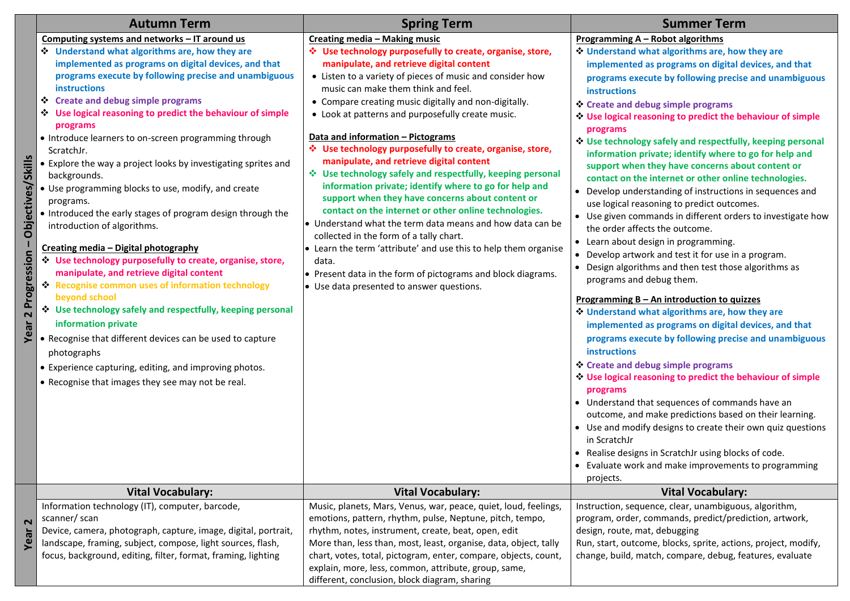|                                                   | <b>Autumn Term</b>                                                                                                                                                                                                                                                                                                                                                                                                                                                                                                                                                                                                                                                                                                                                                                                                                                                                                                                                                                                                                                                                                                                                                             | <b>Spring Term</b>                                                                                                                                                                                                                                                                                                                                                                                                                                                                                                                                                                                                                                                                                                                                                                                                                                                                                                                                                                                                                       | <b>Summer Term</b>                                                                                                                                                                                                                                                                                                                                                                                                                                                                                                                                                                                                                                                                                                                                                                                                                                                                                                                                                                                                                                                                                                                                                                                                                                                                                                                                                                                                                                                                                                                                                                                                                         |
|---------------------------------------------------|--------------------------------------------------------------------------------------------------------------------------------------------------------------------------------------------------------------------------------------------------------------------------------------------------------------------------------------------------------------------------------------------------------------------------------------------------------------------------------------------------------------------------------------------------------------------------------------------------------------------------------------------------------------------------------------------------------------------------------------------------------------------------------------------------------------------------------------------------------------------------------------------------------------------------------------------------------------------------------------------------------------------------------------------------------------------------------------------------------------------------------------------------------------------------------|------------------------------------------------------------------------------------------------------------------------------------------------------------------------------------------------------------------------------------------------------------------------------------------------------------------------------------------------------------------------------------------------------------------------------------------------------------------------------------------------------------------------------------------------------------------------------------------------------------------------------------------------------------------------------------------------------------------------------------------------------------------------------------------------------------------------------------------------------------------------------------------------------------------------------------------------------------------------------------------------------------------------------------------|--------------------------------------------------------------------------------------------------------------------------------------------------------------------------------------------------------------------------------------------------------------------------------------------------------------------------------------------------------------------------------------------------------------------------------------------------------------------------------------------------------------------------------------------------------------------------------------------------------------------------------------------------------------------------------------------------------------------------------------------------------------------------------------------------------------------------------------------------------------------------------------------------------------------------------------------------------------------------------------------------------------------------------------------------------------------------------------------------------------------------------------------------------------------------------------------------------------------------------------------------------------------------------------------------------------------------------------------------------------------------------------------------------------------------------------------------------------------------------------------------------------------------------------------------------------------------------------------------------------------------------------------|
| /Skills<br>Objectives/<br>Progression<br>2<br>ear | Computing systems and networks - IT around us<br>* Understand what algorithms are, how they are<br>implemented as programs on digital devices, and that<br>programs execute by following precise and unambiguous<br>instructions<br>Create and debug simple programs<br>* Use logical reasoning to predict the behaviour of simple<br>programs<br>• Introduce learners to on-screen programming through<br>ScratchJr.<br>• Explore the way a project looks by investigating sprites and<br>backgrounds.<br>• Use programming blocks to use, modify, and create<br>programs.<br>• Introduced the early stages of program design through the<br>introduction of algorithms.<br>Creating media - Digital photography<br>* Use technology purposefully to create, organise, store,<br>manipulate, and retrieve digital content<br>Recognise common uses of information technology<br>beyond school<br>* Use technology safely and respectfully, keeping personal<br>information private<br>• Recognise that different devices can be used to capture<br>photographs<br>• Experience capturing, editing, and improving photos.<br>• Recognise that images they see may not be real. | Creating media - Making music<br>Use technology purposefully to create, organise, store,<br>manipulate, and retrieve digital content<br>• Listen to a variety of pieces of music and consider how<br>music can make them think and feel.<br>• Compare creating music digitally and non-digitally.<br>• Look at patterns and purposefully create music.<br>Data and information - Pictograms<br>Use technology purposefully to create, organise, store,<br>manipulate, and retrieve digital content<br>❖ Use technology safely and respectfully, keeping personal<br>information private; identify where to go for help and<br>support when they have concerns about content or<br>contact on the internet or other online technologies.<br>• Understand what the term data means and how data can be<br>collected in the form of a tally chart.<br>• Learn the term 'attribute' and use this to help them organise<br>data.<br>• Present data in the form of pictograms and block diagrams.<br>• Use data presented to answer questions. | Programming A - Robot algorithms<br>Understand what algorithms are, how they are<br>implemented as programs on digital devices, and that<br>programs execute by following precise and unambiguous<br><b>instructions</b><br>Create and debug simple programs<br><b>↓ Use logical reasoning to predict the behaviour of simple</b><br>programs<br>* Use technology safely and respectfully, keeping personal<br>information private; identify where to go for help and<br>support when they have concerns about content or<br>contact on the internet or other online technologies.<br>• Develop understanding of instructions in sequences and<br>use logical reasoning to predict outcomes.<br>• Use given commands in different orders to investigate how<br>the order affects the outcome.<br>• Learn about design in programming.<br>• Develop artwork and test it for use in a program.<br>• Design algorithms and then test those algorithms as<br>programs and debug them.<br>Programming B - An introduction to quizzes<br>Understand what algorithms are, how they are<br>implemented as programs on digital devices, and that<br>programs execute by following precise and unambiguous<br>instructions<br>Create and debug simple programs<br>* Use logical reasoning to predict the behaviour of simple<br>programs<br>• Understand that sequences of commands have an<br>outcome, and make predictions based on their learning.<br>• Use and modify designs to create their own quiz questions<br>in ScratchJr<br>• Realise designs in ScratchJr using blocks of code.<br>• Evaluate work and make improvements to programming |
|                                                   | <b>Vital Vocabulary:</b>                                                                                                                                                                                                                                                                                                                                                                                                                                                                                                                                                                                                                                                                                                                                                                                                                                                                                                                                                                                                                                                                                                                                                       | <b>Vital Vocabulary:</b>                                                                                                                                                                                                                                                                                                                                                                                                                                                                                                                                                                                                                                                                                                                                                                                                                                                                                                                                                                                                                 | projects.<br><b>Vital Vocabulary:</b>                                                                                                                                                                                                                                                                                                                                                                                                                                                                                                                                                                                                                                                                                                                                                                                                                                                                                                                                                                                                                                                                                                                                                                                                                                                                                                                                                                                                                                                                                                                                                                                                      |
| 2<br>Year                                         | Information technology (IT), computer, barcode,<br>scanner/ scan<br>Device, camera, photograph, capture, image, digital, portrait,<br>landscape, framing, subject, compose, light sources, flash,<br>focus, background, editing, filter, format, framing, lighting                                                                                                                                                                                                                                                                                                                                                                                                                                                                                                                                                                                                                                                                                                                                                                                                                                                                                                             | Music, planets, Mars, Venus, war, peace, quiet, loud, feelings,<br>emotions, pattern, rhythm, pulse, Neptune, pitch, tempo,<br>rhythm, notes, instrument, create, beat, open, edit<br>More than, less than, most, least, organise, data, object, tally<br>chart, votes, total, pictogram, enter, compare, objects, count,                                                                                                                                                                                                                                                                                                                                                                                                                                                                                                                                                                                                                                                                                                                | Instruction, sequence, clear, unambiguous, algorithm,<br>program, order, commands, predict/prediction, artwork,<br>design, route, mat, debugging<br>Run, start, outcome, blocks, sprite, actions, project, modify,<br>change, build, match, compare, debug, features, evaluate                                                                                                                                                                                                                                                                                                                                                                                                                                                                                                                                                                                                                                                                                                                                                                                                                                                                                                                                                                                                                                                                                                                                                                                                                                                                                                                                                             |
|                                                   |                                                                                                                                                                                                                                                                                                                                                                                                                                                                                                                                                                                                                                                                                                                                                                                                                                                                                                                                                                                                                                                                                                                                                                                | explain, more, less, common, attribute, group, same,<br>different, conclusion, block diagram, sharing                                                                                                                                                                                                                                                                                                                                                                                                                                                                                                                                                                                                                                                                                                                                                                                                                                                                                                                                    |                                                                                                                                                                                                                                                                                                                                                                                                                                                                                                                                                                                                                                                                                                                                                                                                                                                                                                                                                                                                                                                                                                                                                                                                                                                                                                                                                                                                                                                                                                                                                                                                                                            |